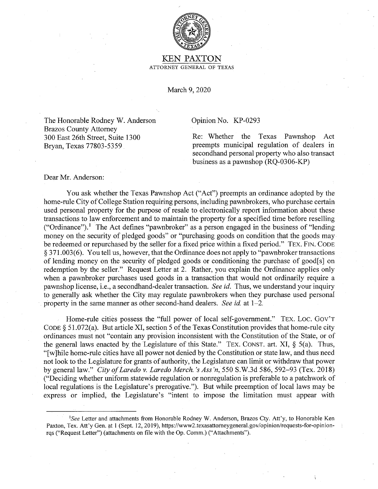

## KEN PAXTON ATTORNEY GENERAL OF TEXAS

March 9, 2020

The Honorable Rodney W. Anderson Brazos County Attorney 300 East 26th Street, Suite 1300 Bryan, Texas 77803-5359

## Opinion No. KP-0293

Re: Whether the Texas Pawnshop Act preempts municipal regulation of dealers in secondhand personal property who also transact business as a pawnshop (RQ-0306-KP)

Dear Mr. Anderson:

You ask whether the Texas Pawnshop Act ("Act") preempts an ordinance adopted by the home-rule City of College Station requiring persons, including pawnbrokers, who purchase certain used personal property for the purpose of resale to electronically report information about these transactions to law enforcement and to maintain the property for a specified time before reselling ("Ordinance").<sup>1</sup> The Act defines "pawnbroker" as a person engaged in the business of "lending" money on the security of pledged goods" or "purchasing goods on condition that the goods maybe redeemed or repurchased by the seller for a fixed price within a fixed period." TEX. FIN. CODE § 371.003(6). You tell us, however, that the Ordinance does not apply to "pawnbroker transactions of lending money on the security of pledged goods or conditioning the purchase of good[ s] on redemption by the seller." Request Letter at 2. Rather, you explain the Ordinance applies only when a pawnbroker purchases used goods in a transaction that would not ordinarily require a pawnshop license, i.e., a secondhand-dealer transaction. *See id.* Thus, we understand your inquiry to generally ask whether the City may regulate pawnbrokers when they purchase used personal property in the same manner as other second-hand dealers. *See id* at 1-2.

Home-rule cities possess the "full power of local self-government." TEX. LOC. GOV'T CODE  $\S$  51.072(a). But article XI, section 5 of the Texas Constitution provides that home-rule city ordinances must not "contain any provision inconsistent with the Constitution of the State, or of the general laws enacted by the Legislature of this State." TEX. CONST. art. XI,  $\S$  5(a). Thus, "[ w ]hile home-rule cities have all power not denied by the Constitution or state law, and thus need not look to the Legislature for grants of authority, the Legislature can limit or withdraw that power by general law." *City of Laredo v. Laredo Merch. 's Ass'n,* 550 S.W.3d 586, 592-93 (Tex. 2018) ("Deciding whether uniform statewide regulation or nonregulation is preferable to a patchwork of local regulations is the Legislature's prerogative."). But while preemption of local laws may be express or implied, the Legislature's "intent to impose the limitation must appear with

See Letter and attachments from Honorable Rodney W. Anderson, Brazos Cty. Att'y, to Honorable Ken Paxton, Tex. Att'y Gen. at 1 (Sept. 12, 2019), https://www2.texasattorneygeneral.gov/opinion/requests-for-opinionrqs ("Request Letter") (attachments on file with the Op. Comm.) ("Attachments").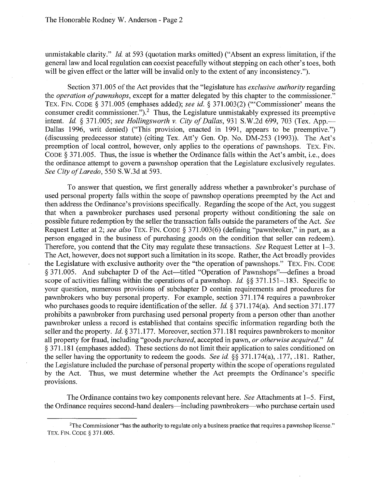unmistakable clarity." *Id.* at 593 (quotation marks omitted) ("Absent an express limitation, if the general law and local regulation can coexist peacefully without stepping on each other's toes, both will be given effect or the latter will be invalid only to the extent of any inconsistency.").

Section 371.005 of the Act provides that the "legislature has *exclusive authority* regarding the *operation of pawnshops,* except for a matter delegated by this chapter to the commissioner." TEX. FIN. CODE § 371.005 (emphases added); *see id.* § 371.003(2) ('"Commissioner' means the consumer credit commissioner.").<sup>2</sup> Thus, the Legislature unmistakably expressed its preemptive intent. *Id.* § 371.005; *see Hollingsworth v. City of Dallas*, 931 S.W.2d 699, 703 (Tex. App.— Dallas 1996, writ denied) ("This provision, enacted in 1991, appears to be preemptive.") (discussing predecessor statute) (citing Tex. Att'y Gen. Op. No. DM-253 (1993)). The Act's preemption of local control, however, only applies to the operations of pawnshops. TEX. FIN. CODE§ 371.005. Thus, the issue is whether the Ordinance falls within the Act's ambit, i.e., does the ordinance attempt to govern a pawnshop operation that the Legislature exclusively regulates. *See City of Laredo,* 550 S.W.3d at 593.

To answer that question, we first generally address whether a pawnbroker's purchase of used personal property falls within the scope of pawnshop operations preempted by the Act and then address the Ordinance's provisions specifically. Regarding the scope of the Act, you suggest that when a pawnbroker purchases used personal property without conditioning the sale on possible future redemption by the seller the transaction falls outside the parameters of the Act. *See*  Request Letter at 2; *see also* TEX. FIN. CODE § 371.003(6) (defining "pawnbroker," in part, as a person engaged in the business of purchasing goods on the condition that seller can redeem). Therefore, you contend that the City may regulate these transactions. *See* Request Letter at 1-3. The Act, however, does not support such a limitation in its scope. Rather, the Act broadly provides the Legislature with exclusive authority over the "the operation of pawnshops." TEX. FIN. CODE § 371.005. And subchapter D of the Act—titled "Operation of Pawnshops"—defines a broad scope of activities falling within the operations of a pawnshop. *Id.* §§ 371.151-.183. Specific to your question, numerous provisions of subchapter D contain requirements and procedures for pawnbrokers who buy personal property. For example, section 371.174 requires a pawnbroker who purchases goods to require identification of the seller. *Id.* § 371.174(a). And section 371.177 prohibits a pawnbroker from purchasing used personal property from a person other than another pawnbroker unless a record is established that contains specific information regarding both the seller and the property. *Id.§* 371.177. Moreover, section 371.181 requires pawnbrokers to monitor all property for fraud, including "goods *purchased,* accepted in pawn, *or otherwise acquired." Id*  § 371.181 (emphases added). These sections do not limit their application to sales conditioned on the seller having the opportunity to redeem the goods. *See id* §§ 371.l 74(a), .177, .181. Rather, the Legislature included the purchase of personal property within the scope of operations regulated<br>by the Act. Thus, we must determine whether the Act preempts the Ordinance's specific Thus, we must determine whether the Act preempts the Ordinance's specific provisions.

The Ordinance contains two key components relevant here. *See* Attachments at 1-5. First, the Ordinance requires second-hand dealers—including pawnbrokers—who purchase certain used

 $2$ The Commissioner "has the authority to regulate only a business practice that requires a pawnshop license." TEX. FIN. CODE§ 371.005.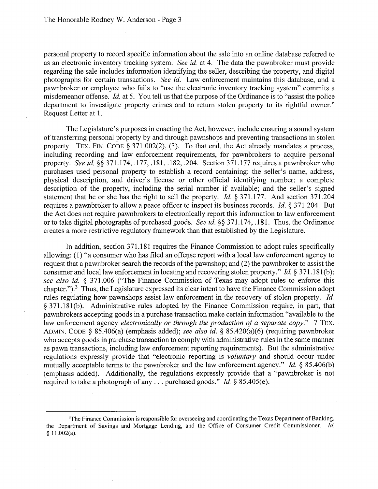personal property to record specific information about the sale into an online database referred to as an electronic inventory tracking system. *See id.* at 4. The data the pawnbroker must provide regarding the sale includes information identifying the seller, describing the property, and digital photographs for certain transactions. *See id.* Law enforcement maintains this database, and a pawnbroker or employee who fails to "use the electronic inventory tracking system" commits a misdemeanor offense. *Id.* at 5. You tell us that the purpose of the Ordinance is to "assist the police department to investigate property crimes and to return stolen property to its rightful owner." Request Letter at 1.

The Legislature's purposes in enacting the Act, however, include ensuring a sound system of transferring personal property by and through pawnshops and preventing transactions in stolen property. TEX. FIN. CODE § 371.002(2), (3). To that end, the Act already mandates a process, including recording and law enforcement requirements, for pawnbrokers to acquire personal property. *See id.* §§ 371.174, .177, .181, .182, .204. Section 371.177 requires a pawnbroker who purchases used personal property to establish a record containing: the seller's name, address, physical description, and driver's license or other official identifying number; a complete description of the property, including the serial number if available; and the seller's signed statement that he or she has the right to sell the property. *Id.* § 371.177. And section 371.204 requires a pawnbroker to allow a peace officer to inspect its business records. *Id.* § 371.204. But the Act does not require pawnbrokers to electronically report this information to law enforcement or to take digital photographs of purchased goods. *See id.§§* 371.174, .181. Thus, the Ordinance creates a more restrictive regulatory framework than that established by the Legislature.

In addition, section 371.181 requires the Finance Commission to adopt rules specifically allowing: (1) "a consumer who has filed an offense report with a local law enforcement agency to request that a pawnbroker search the records of the pawnshop; and (2) the pawnbroker to assist the consumer and local law enforcement in locating and recovering stolen property." *Id.* § 371.181(b); *see also id.* § 371.006 ("The Finance Commission of Texas may adopt rules to enforce this chapter.").<sup>3</sup> Thus, the Legislature expressed its clear intent to have the Finance Commission adopt rules regulating how pawnshops assist law enforcement in the recovery of stolen property. *Id.*   $§$  371.181(b). Administrative rules adopted by the Finance Commission require, in part, that pawnbrokers accepting goods in a purchase transaction make certain information "available to the law enforcement agency *electronically or through the production of a separate copy.*" 7 TEX. ADMIN. CODE § 85.406(a) (emphasis added); *see also id.* § 85.420(a)(6) (requiring pawnbroker who accepts goods in purchase transaction to comply with administrative rules in the same manner as pawn transactions, including law enforcement reporting requirements). But the administrative regulations expressly provide that "electronic reporting is *voluntary* and should occur under mutually acceptable terms to the pawnbroker and the law enforcement agency." *Id.* § 85.406(b) (emphasis added). Additionally, the regulations expressly provide that a "pawnbroker is not required to take a photograph of any ... purchased goods." *Id.* § 85.405(e).

<sup>&</sup>lt;sup>3</sup>The Finance Commission is responsible for overseeing and coordinating the Texas Department of Banking, the Department of Savings and Mortgage Lending, and the Office of Consumer Credit Commissioner. *Id.*   $$11.002(a).$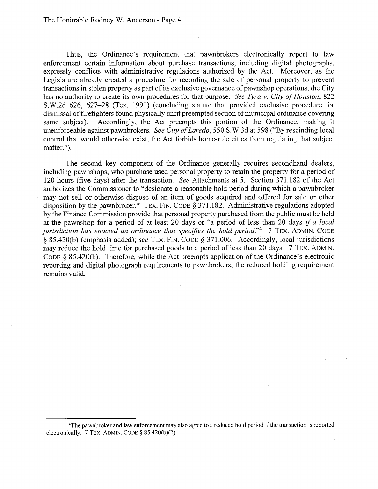The Honorable Rodney W. Anderson - Page 4

Thus, the Ordinance's requirement that pawnbrokers electronically report to law enforcement certain information about purchase transactions, including digital photographs, expressly conflicts with administrative regulations authorized by the Act. Moreover, as the Legislature already created a procedure for recording the sale of personal property to prevent transactions in stolen property as part of its exclusive governance of pawnshop operations, the City has no authority to create its own procedures for that purpose. *See Tyra v. City of Houston,* 822 S.W.2d 626, 627-28 (Tex. 1991) (concluding statute that provided exclusive procedure for dismissal of firefighters found physically unfit preempted section of municipal ordinance covering same subject). Accordingly, the Act preempts this portion of the Ordinance, making it unenforceable against pawnbrokers. *See City of Laredo,* 550 S.W.3d at 598 ("By rescinding local control that would otherwise exist, the Act forbids home-rule cities from regulating that subject matter.").

The second key component of the Ordinance generally requires secondhand dealers, including pawnshops, who purchase used personal property to retain the property for a period of 120 hours (five days) after the transaction. *See* Attachments at 5. Section 371.182 of the Act authorizes the Commissioner to "designate a reasonable hold period during which a pawnbroker may not sell or otherwise dispose of an item of goods acquired and offered for sale or other disposition by the pawnbroker." TEX. FIN. CODE§ 371.182. Administrative regulations adopted by the Finance Commission provide that personal property purchased from the public must be held at the pawnshop for a period of at least 20 days or "a period of less than 20 days *if a local jurisdiction has enacted an ordinance that specifies the hold period.*" 7 TEX. ADMIN. CODE § 85.420(b) (emphasis added); *see* TEX. FIN. CODE § 371.006. Accordingly, local jurisdictions may reduce the hold time for purchased goods to a period of less than 20 days. 7 TEX. ADMIN. CODE§ 85.420(b). Therefore, while the Act preempts application of the Ordinance's electronic reporting and digital photograph requirements to pawnbrokers, the reduced holding requirement remains valid.

<sup>&</sup>lt;sup>4</sup>The pawnbroker and law enforcement may also agree to a reduced hold period if the transaction is reported electronically. 7 TEX. ADMIN. CODE  $\S$  85.420(b)(2).